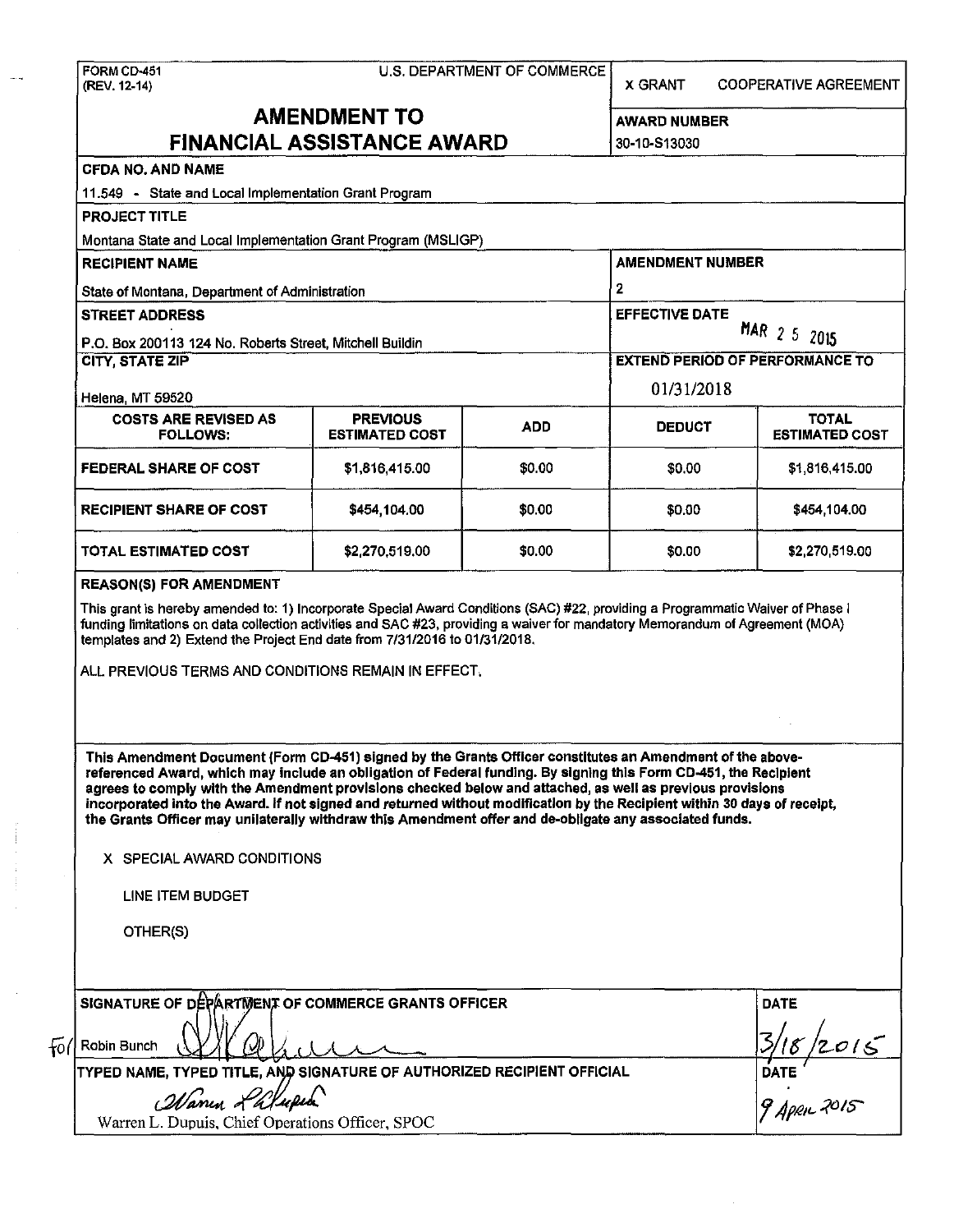|                                                                                                                                                                                                                                                                                                                                                                                                                                                                                                                                                                                   |                                                | U.S. DEPARTMENT OF COMMERCE | <b>X GRANT</b>                                                                  | <b>COOPERATIVE AGREEMENT</b>            |  |
|-----------------------------------------------------------------------------------------------------------------------------------------------------------------------------------------------------------------------------------------------------------------------------------------------------------------------------------------------------------------------------------------------------------------------------------------------------------------------------------------------------------------------------------------------------------------------------------|------------------------------------------------|-----------------------------|---------------------------------------------------------------------------------|-----------------------------------------|--|
|                                                                                                                                                                                                                                                                                                                                                                                                                                                                                                                                                                                   | <b>AMENDMENT TO</b>                            |                             | <b>AWARD NUMBER</b>                                                             |                                         |  |
| <b>FINANCIAL ASSISTANCE AWARD</b>                                                                                                                                                                                                                                                                                                                                                                                                                                                                                                                                                 |                                                |                             | 30-10-S13030                                                                    |                                         |  |
| <b>CFDA NO. AND NAME</b>                                                                                                                                                                                                                                                                                                                                                                                                                                                                                                                                                          |                                                |                             |                                                                                 |                                         |  |
| 11.549 - State and Local Implementation Grant Program                                                                                                                                                                                                                                                                                                                                                                                                                                                                                                                             |                                                |                             |                                                                                 |                                         |  |
| <b>PROJECT TITLE</b>                                                                                                                                                                                                                                                                                                                                                                                                                                                                                                                                                              |                                                |                             |                                                                                 |                                         |  |
| Montana State and Local Implementation Grant Program (MSLIGP)                                                                                                                                                                                                                                                                                                                                                                                                                                                                                                                     |                                                |                             |                                                                                 |                                         |  |
| <b>RECIPIENT NAME</b>                                                                                                                                                                                                                                                                                                                                                                                                                                                                                                                                                             | State of Montana, Department of Administration |                             |                                                                                 | <b>AMENDMENT NUMBER</b><br>$\mathbf{2}$ |  |
|                                                                                                                                                                                                                                                                                                                                                                                                                                                                                                                                                                                   |                                                |                             |                                                                                 |                                         |  |
| <b>STREET ADDRESS</b>                                                                                                                                                                                                                                                                                                                                                                                                                                                                                                                                                             |                                                |                             | <b>EFFECTIVE DATE</b><br>MAR 2 5 2015<br><b>EXTEND PERIOD OF PERFORMANCE TO</b> |                                         |  |
| P.O. Box 200113 124 No. Roberts Street, Mitchell Buildin                                                                                                                                                                                                                                                                                                                                                                                                                                                                                                                          |                                                |                             |                                                                                 |                                         |  |
| <b>CITY, STATE ZIP</b>                                                                                                                                                                                                                                                                                                                                                                                                                                                                                                                                                            |                                                |                             |                                                                                 |                                         |  |
|                                                                                                                                                                                                                                                                                                                                                                                                                                                                                                                                                                                   |                                                |                             | 01/31/2018                                                                      |                                         |  |
| Helena, MT 59520                                                                                                                                                                                                                                                                                                                                                                                                                                                                                                                                                                  |                                                |                             | <b>TOTAL</b>                                                                    |                                         |  |
| <b>COSTS ARE REVISED AS</b><br><b>FOLLOWS:</b>                                                                                                                                                                                                                                                                                                                                                                                                                                                                                                                                    | <b>PREVIOUS</b><br><b>ESTIMATED COST</b>       | <b>ADD</b>                  | <b>DEDUCT</b>                                                                   | <b>ESTIMATED COST</b>                   |  |
| FEDERAL SHARE OF COST                                                                                                                                                                                                                                                                                                                                                                                                                                                                                                                                                             | \$1,816,415.00                                 | \$0.00                      | \$0.00                                                                          | \$1,816,415.00                          |  |
| <b>RECIPIENT SHARE OF COST</b>                                                                                                                                                                                                                                                                                                                                                                                                                                                                                                                                                    | \$454,104.00                                   | \$0.00                      | \$0.00                                                                          | \$454,104.00                            |  |
| TOTAL ESTIMATED COST                                                                                                                                                                                                                                                                                                                                                                                                                                                                                                                                                              | \$2,270,519.00                                 | \$0.00                      | \$0.00                                                                          | \$2,270,519.00                          |  |
| <b>REASON(S) FOR AMENDMENT</b><br>This grant is hereby amended to: 1) Incorporate Special Award Conditions (SAC) #22, providing a Programmatic Waiver of Phase I<br>funding limitations on data collection activities and SAC #23, providing a waiver for mandatory Memorandum of Agreement (MOA)<br>templates and 2) Extend the Project End date from 7/31/2016 to 01/31/2018.                                                                                                                                                                                                   |                                                |                             |                                                                                 |                                         |  |
| ALL PREVIOUS TERMS AND CONDITIONS REMAIN IN EFFECT.                                                                                                                                                                                                                                                                                                                                                                                                                                                                                                                               |                                                |                             |                                                                                 |                                         |  |
| This Amendment Document (Form CD-451) signed by the Grants Officer constitutes an Amendment of the above-<br>referenced Award, which may include an obligation of Federal funding. By signing this Form CD-451, the Recipient<br>agrees to comply with the Amendment provisions checked below and attached, as well as previous provisions<br>incorporated into the Award. If not signed and returned without modification by the Recipient within 30 days of receipt,<br>the Grants Officer may unilaterally withdraw this Amendment offer and de-obligate any associated funds. |                                                |                             |                                                                                 |                                         |  |
| X SPECIAL AWARD CONDITIONS                                                                                                                                                                                                                                                                                                                                                                                                                                                                                                                                                        |                                                |                             |                                                                                 |                                         |  |
| LINE ITEM BUDGET                                                                                                                                                                                                                                                                                                                                                                                                                                                                                                                                                                  |                                                |                             |                                                                                 |                                         |  |
| OTHER(S)                                                                                                                                                                                                                                                                                                                                                                                                                                                                                                                                                                          |                                                |                             |                                                                                 |                                         |  |
|                                                                                                                                                                                                                                                                                                                                                                                                                                                                                                                                                                                   |                                                |                             |                                                                                 |                                         |  |
| SIGNATURE OF DEPARTMENT OF COMMERCE GRANTS OFFICER<br>$\left\lceil \frac{1}{2} \right\rceil$ Robin Bunch                                                                                                                                                                                                                                                                                                                                                                                                                                                                          |                                                |                             |                                                                                 | <b>DATE</b>                             |  |
| TYPED NAME, TYPED TITLE, AND SIGNATURE OF AUTHORIZED RECIPIENT OFFICIAL                                                                                                                                                                                                                                                                                                                                                                                                                                                                                                           |                                                |                             |                                                                                 | 2015                                    |  |
| Manun Lalupen                                                                                                                                                                                                                                                                                                                                                                                                                                                                                                                                                                     |                                                |                             |                                                                                 | DATE $\int \frac{180}{9}$               |  |